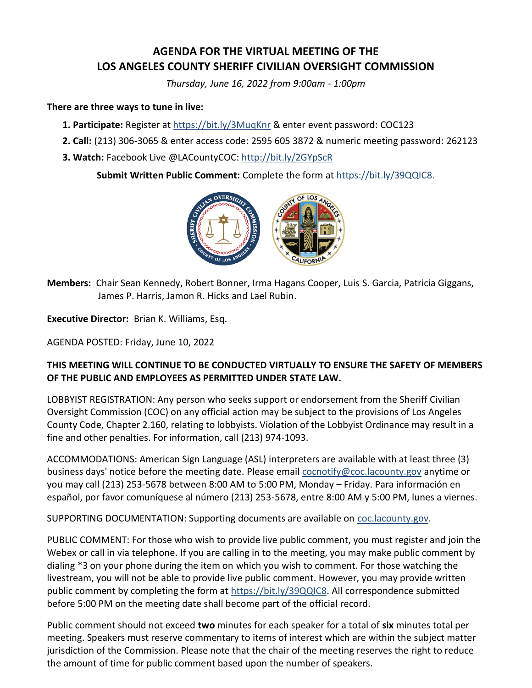# **AGENDA FOR THE VIRTUAL MEETING OF THE LOS ANGELES COUNTY SHERIFF CIVILIAN OVERSIGHT COMMISSION**

*Thursday, June 16, 2022 from 9:00am - 1:00pm*

#### **There are three ways to tune in live:**

- **1. Participate:** Register at <https://bit.ly/3MuqKnr> & enter event password: COC123
- **2. Call:** (213) 306-3065 & enter access code: 2595 605 3872 & numeric meeting password: 262123
- **3. Watch:** Facebook Live @LACountyCOC:<http://bit.ly/2GYpScR>

**Submit Written Public Comment:** Complete the form at [https://bit.ly/39QQIC8.](https://bit.ly/39QQIC8)



**Members:** Chair Sean Kennedy, Robert Bonner, Irma Hagans Cooper, Luis S. Garcia, Patricia Giggans, James P. Harris, Jamon R. Hicks and Lael Rubin.

**Executive Director:** Brian K. Williams, Esq.

AGENDA POSTED: Friday, June 10, 2022

## **THIS MEETING WILL CONTINUE TO BE CONDUCTED VIRTUALLY TO ENSURE THE SAFETY OF MEMBERS OF THE PUBLIC AND EMPLOYEES AS PERMITTED UNDER STATE LAW.**

LOBBYIST REGISTRATION: Any person who seeks support or endorsement from the Sheriff Civilian Oversight Commission (COC) on any official action may be subject to the provisions of Los Angeles County Code, Chapter 2.160, relating to lobbyists. Violation of the Lobbyist Ordinance may result in a fine and other penalties. For information, call (213) 974-1093.

ACCOMMODATIONS: American Sign Language (ASL) interpreters are available with at least three (3) business days' notice before the meeting date. Please emai[l cocnotify@coc.lacounty.gov](mailto:cocnotify@coc.lacounty.gov) anytime or you may call (213) 253-5678 between 8:00 AM to 5:00 PM, Monday – Friday. Para información en español, por favor comuníquese al número (213) 253-5678, entre 8:00 AM y 5:00 PM, lunes a viernes.

SUPPORTING DOCUMENTATION: Supporting documents are available on [coc.lacounty.gov.](https://coc.lacounty.gov/)

PUBLIC COMMENT: For those who wish to provide live public comment, you must register and join the Webex or call in via telephone. If you are calling in to the meeting, you may make public comment by dialing \*3 on your phone during the item on which you wish to comment. For those watching the livestream, you will not be able to provide live public comment. However, you may provide written public comment by completing the form a[t https://bit.ly/39QQIC8.](https://bit.ly/39QQIC8) All correspondence submitted before 5:00 PM on the meeting date shall become part of the official record.

Public comment should not exceed **two** minutes for each speaker for a total of **six** minutes total per meeting. Speakers must reserve commentary to items of interest which are within the subject matter jurisdiction of the Commission. Please note that the chair of the meeting reserves the right to reduce the amount of time for public comment based upon the number of speakers.